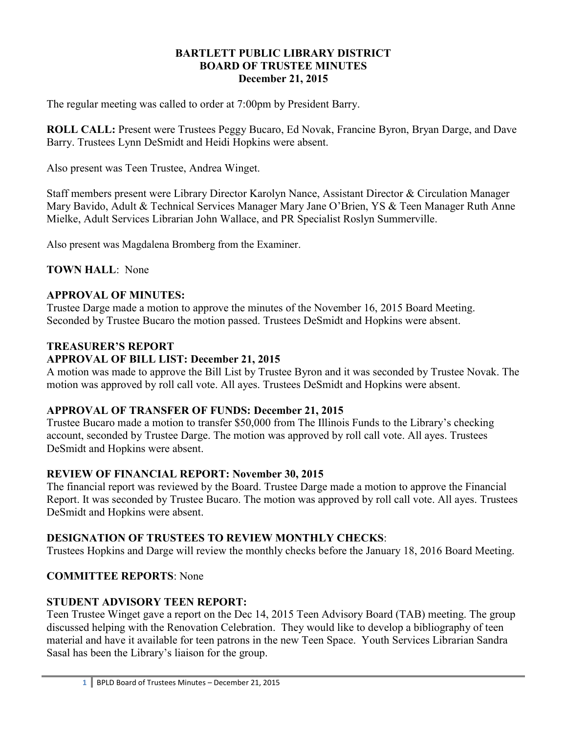### **BARTLETT PUBLIC LIBRARY DISTRICT BOARD OF TRUSTEE MINUTES December 21, 2015**

The regular meeting was called to order at 7:00pm by President Barry.

**ROLL CALL:** Present were Trustees Peggy Bucaro, Ed Novak, Francine Byron, Bryan Darge, and Dave Barry. Trustees Lynn DeSmidt and Heidi Hopkins were absent.

Also present was Teen Trustee, Andrea Winget.

Staff members present were Library Director Karolyn Nance, Assistant Director & Circulation Manager Mary Bavido, Adult & Technical Services Manager Mary Jane O'Brien, YS & Teen Manager Ruth Anne Mielke, Adult Services Librarian John Wallace, and PR Specialist Roslyn Summerville.

Also present was Magdalena Bromberg from the Examiner.

**TOWN HALL**: None

## **APPROVAL OF MINUTES:**

Trustee Darge made a motion to approve the minutes of the November 16, 2015 Board Meeting. Seconded by Trustee Bucaro the motion passed. Trustees DeSmidt and Hopkins were absent.

# **TREASURER'S REPORT**

## **APPROVAL OF BILL LIST: December 21, 2015**

A motion was made to approve the Bill List by Trustee Byron and it was seconded by Trustee Novak. The motion was approved by roll call vote. All ayes. Trustees DeSmidt and Hopkins were absent.

## **APPROVAL OF TRANSFER OF FUNDS: December 21, 2015**

Trustee Bucaro made a motion to transfer \$50,000 from The Illinois Funds to the Library's checking account, seconded by Trustee Darge. The motion was approved by roll call vote. All ayes. Trustees DeSmidt and Hopkins were absent.

## **REVIEW OF FINANCIAL REPORT: November 30, 2015**

The financial report was reviewed by the Board. Trustee Darge made a motion to approve the Financial Report. It was seconded by Trustee Bucaro. The motion was approved by roll call vote. All ayes. Trustees DeSmidt and Hopkins were absent.

## **DESIGNATION OF TRUSTEES TO REVIEW MONTHLY CHECKS**:

Trustees Hopkins and Darge will review the monthly checks before the January 18, 2016 Board Meeting.

## **COMMITTEE REPORTS**: None

## **STUDENT ADVISORY TEEN REPORT:**

Teen Trustee Winget gave a report on the Dec 14, 2015 Teen Advisory Board (TAB) meeting. The group discussed helping with the Renovation Celebration. They would like to develop a bibliography of teen material and have it available for teen patrons in the new Teen Space. Youth Services Librarian Sandra Sasal has been the Library's liaison for the group.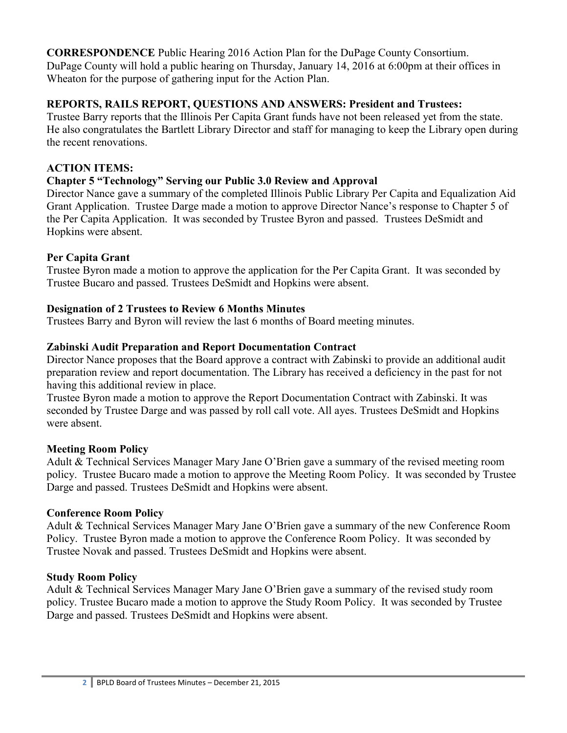**CORRESPONDENCE** Public Hearing 2016 Action Plan for the DuPage County Consortium. DuPage County will hold a public hearing on Thursday, January 14, 2016 at 6:00pm at their offices in Wheaton for the purpose of gathering input for the Action Plan.

# **REPORTS, RAILS REPORT, QUESTIONS AND ANSWERS: President and Trustees:**

Trustee Barry reports that the Illinois Per Capita Grant funds have not been released yet from the state. He also congratulates the Bartlett Library Director and staff for managing to keep the Library open during the recent renovations.

# **ACTION ITEMS:**

# **Chapter 5 "Technology" Serving our Public 3.0 Review and Approval**

Director Nance gave a summary of the completed Illinois Public Library Per Capita and Equalization Aid Grant Application. Trustee Darge made a motion to approve Director Nance's response to Chapter 5 of the Per Capita Application. It was seconded by Trustee Byron and passed. Trustees DeSmidt and Hopkins were absent.

# **Per Capita Grant**

Trustee Byron made a motion to approve the application for the Per Capita Grant. It was seconded by Trustee Bucaro and passed. Trustees DeSmidt and Hopkins were absent.

# **Designation of 2 Trustees to Review 6 Months Minutes**

Trustees Barry and Byron will review the last 6 months of Board meeting minutes.

# **Zabinski Audit Preparation and Report Documentation Contract**

Director Nance proposes that the Board approve a contract with Zabinski to provide an additional audit preparation review and report documentation. The Library has received a deficiency in the past for not having this additional review in place.

Trustee Byron made a motion to approve the Report Documentation Contract with Zabinski. It was seconded by Trustee Darge and was passed by roll call vote. All ayes. Trustees DeSmidt and Hopkins were absent.

## **Meeting Room Policy**

Adult & Technical Services Manager Mary Jane O'Brien gave a summary of the revised meeting room policy. Trustee Bucaro made a motion to approve the Meeting Room Policy. It was seconded by Trustee Darge and passed. Trustees DeSmidt and Hopkins were absent.

# **Conference Room Policy**

Adult & Technical Services Manager Mary Jane O'Brien gave a summary of the new Conference Room Policy. Trustee Byron made a motion to approve the Conference Room Policy. It was seconded by Trustee Novak and passed. Trustees DeSmidt and Hopkins were absent.

# **Study Room Policy**

Adult & Technical Services Manager Mary Jane O'Brien gave a summary of the revised study room policy. Trustee Bucaro made a motion to approve the Study Room Policy. It was seconded by Trustee Darge and passed. Trustees DeSmidt and Hopkins were absent.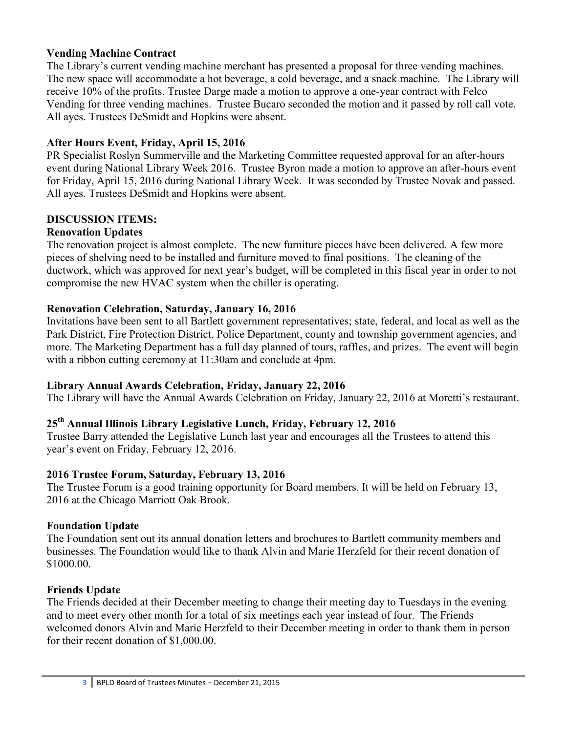### **Vending Machine Contract**

The Library's current vending machine merchant has presented a proposal for three vending machines. The new space will accommodate a hot beverage, a cold beverage, and a snack machine. The Library will receive 10% of the profits. Trustee Darge made a motion to approve a one-year contract with Felco Vending for three vending machines. Trustee Bucaro seconded the motion and it passed by roll call vote. All ayes. Trustees DeSmidt and Hopkins were absent.

### **After Hours Event, Friday, April 15, 2016**

PR Specialist Roslyn Summerville and the Marketing Committee requested approval for an after-hours event during National Library Week 2016. Trustee Byron made a motion to approve an after-hours event for Friday, April 15, 2016 during National Library Week. It was seconded by Trustee Novak and passed. All ayes. Trustees DeSmidt and Hopkins were absent.

### **DISCUSSION ITEMS:**

### **Renovation Updates**

The renovation project is almost complete. The new furniture pieces have been delivered. A few more pieces of shelving need to be installed and furniture moved to final positions. The cleaning of the ductwork, which was approved for next year's budget, will be completed in this fiscal year in order to not compromise the new HVAC system when the chiller is operating.

### **Renovation Celebration, Saturday, January 16, 2016**

Invitations have been sent to all Bartlett government representatives; state, federal, and local as well as the Park District, Fire Protection District, Police Department, county and township government agencies, and more. The Marketing Department has a full day planned of tours, raffles, and prizes. The event will begin with a ribbon cutting ceremony at 11:30am and conclude at 4pm.

### **Library Annual Awards Celebration, Friday, January 22, 2016**

The Library will have the Annual Awards Celebration on Friday, January 22, 2016 at Moretti's restaurant.

# **25th Annual Illinois Library Legislative Lunch, Friday, February 12, 2016**

Trustee Barry attended the Legislative Lunch last year and encourages all the Trustees to attend this year's event on Friday, February 12, 2016.

### **2016 Trustee Forum, Saturday, February 13, 2016**

The Trustee Forum is a good training opportunity for Board members. It will be held on February 13, 2016 at the Chicago Marriott Oak Brook.

### **Foundation Update**

The Foundation sent out its annual donation letters and brochures to Bartlett community members and businesses. The Foundation would like to thank Alvin and Marie Herzfeld for their recent donation of \$1000.00.

### **Friends Update**

The Friends decided at their December meeting to change their meeting day to Tuesdays in the evening and to meet every other month for a total of six meetings each year instead of four. The Friends welcomed donors Alvin and Marie Herzfeld to their December meeting in order to thank them in person for their recent donation of \$1,000.00.